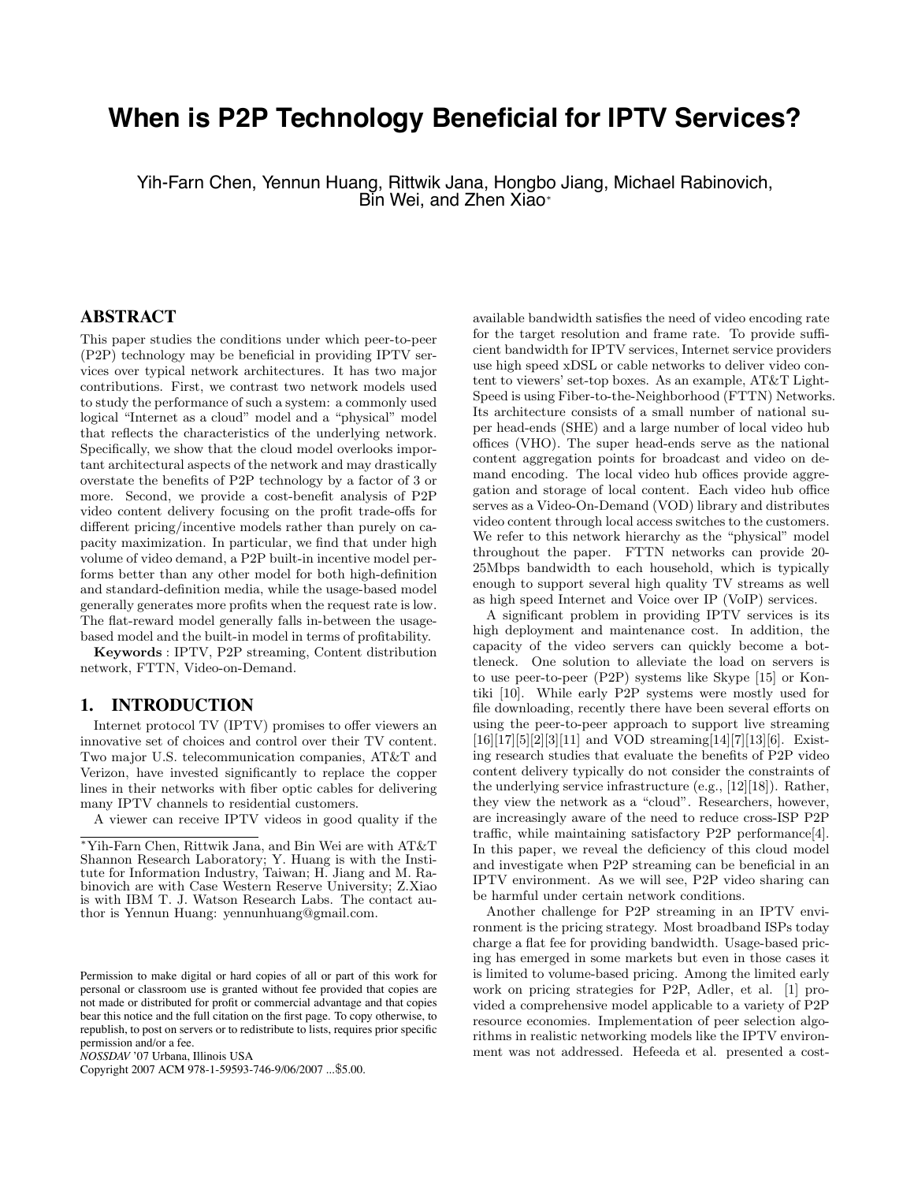# **When is P2P Technology Beneficial for IPTV Services?**

Yih-Farn Chen, Yennun Huang, Rittwik Jana, Hongbo Jiang, Michael Rabinovich, Bin Wei, and Zhen Xiao<sup>∗</sup>

# **ABSTRACT**

This paper studies the conditions under which peer-to-peer (P2P) technology may be beneficial in providing IPTV services over typical network architectures. It has two major contributions. First, we contrast two network models used to study the performance of such a system: a commonly used logical "Internet as a cloud" model and a "physical" model that reflects the characteristics of the underlying network. Specifically, we show that the cloud model overlooks important architectural aspects of the network and may drastically overstate the benefits of P2P technology by a factor of 3 or more. Second, we provide a cost-benefit analysis of P2P video content delivery focusing on the profit trade-offs for different pricing/incentive models rather than purely on capacity maximization. In particular, we find that under high volume of video demand, a P2P built-in incentive model performs better than any other model for both high-definition and standard-definition media, while the usage-based model generally generates more profits when the request rate is low. The flat-reward model generally falls in-between the usagebased model and the built-in model in terms of profitability.

**Keywords** : IPTV, P2P streaming, Content distribution network, FTTN, Video-on-Demand.

# **1. INTRODUCTION**

Internet protocol TV (IPTV) promises to offer viewers an innovative set of choices and control over their TV content. Two major U.S. telecommunication companies, AT&T and Verizon, have invested significantly to replace the copper lines in their networks with fiber optic cables for delivering many IPTV channels to residential customers.

A viewer can receive IPTV videos in good quality if the

Copyright 2007 ACM 978-1-59593-746-9/06/2007 ...\$5.00.

available bandwidth satisfies the need of video encoding rate for the target resolution and frame rate. To provide sufficient bandwidth for IPTV services, Internet service providers use high speed xDSL or cable networks to deliver video content to viewers' set-top boxes. As an example, AT&T Light-Speed is using Fiber-to-the-Neighborhood (FTTN) Networks. Its architecture consists of a small number of national super head-ends (SHE) and a large number of local video hub offices (VHO). The super head-ends serve as the national content aggregation points for broadcast and video on demand encoding. The local video hub offices provide aggregation and storage of local content. Each video hub office serves as a Video-On-Demand (VOD) library and distributes video content through local access switches to the customers. We refer to this network hierarchy as the "physical" model throughout the paper. FTTN networks can provide 20- 25Mbps bandwidth to each household, which is typically enough to support several high quality TV streams as well as high speed Internet and Voice over IP (VoIP) services.

A significant problem in providing IPTV services is its high deployment and maintenance cost. In addition, the capacity of the video servers can quickly become a bottleneck. One solution to alleviate the load on servers is to use peer-to-peer (P2P) systems like Skype [15] or Kontiki [10]. While early P2P systems were mostly used for file downloading, recently there have been several efforts on using the peer-to-peer approach to support live streaming  $[16][17][5][2][3][11]$  and VOD streaming[14][7][13][6]. Existing research studies that evaluate the benefits of P2P video content delivery typically do not consider the constraints of the underlying service infrastructure (e.g., [12][18]). Rather, they view the network as a "cloud". Researchers, however, are increasingly aware of the need to reduce cross-ISP P2P traffic, while maintaining satisfactory P2P performance[4]. In this paper, we reveal the deficiency of this cloud model and investigate when P2P streaming can be beneficial in an IPTV environment. As we will see, P2P video sharing can be harmful under certain network conditions.

Another challenge for P2P streaming in an IPTV environment is the pricing strategy. Most broadband ISPs today charge a flat fee for providing bandwidth. Usage-based pricing has emerged in some markets but even in those cases it is limited to volume-based pricing. Among the limited early work on pricing strategies for P2P, Adler, et al. [1] provided a comprehensive model applicable to a variety of P2P resource economies. Implementation of peer selection algorithms in realistic networking models like the IPTV environment was not addressed. Hefeeda et al. presented a cost-

<sup>∗</sup>Yih-Farn Chen, Rittwik Jana, and Bin Wei are with AT&T Shannon Research Laboratory; Y. Huang is with the Institute for Information Industry, Taiwan; H. Jiang and M. Rabinovich are with Case Western Reserve University; Z.Xiao is with IBM T. J. Watson Research Labs. The contact author is Yennun Huang: yennunhuang@gmail.com.

Permission to make digital or hard copies of all or part of this work for personal or classroom use is granted without fee provided that copies are not made or distributed for profit or commercial advantage and that copies bear this notice and the full citation on the first page. To copy otherwise, to republish, to post on servers or to redistribute to lists, requires prior specific permission and/or a fee.

*NOSSDAV* '07 Urbana, Illinois USA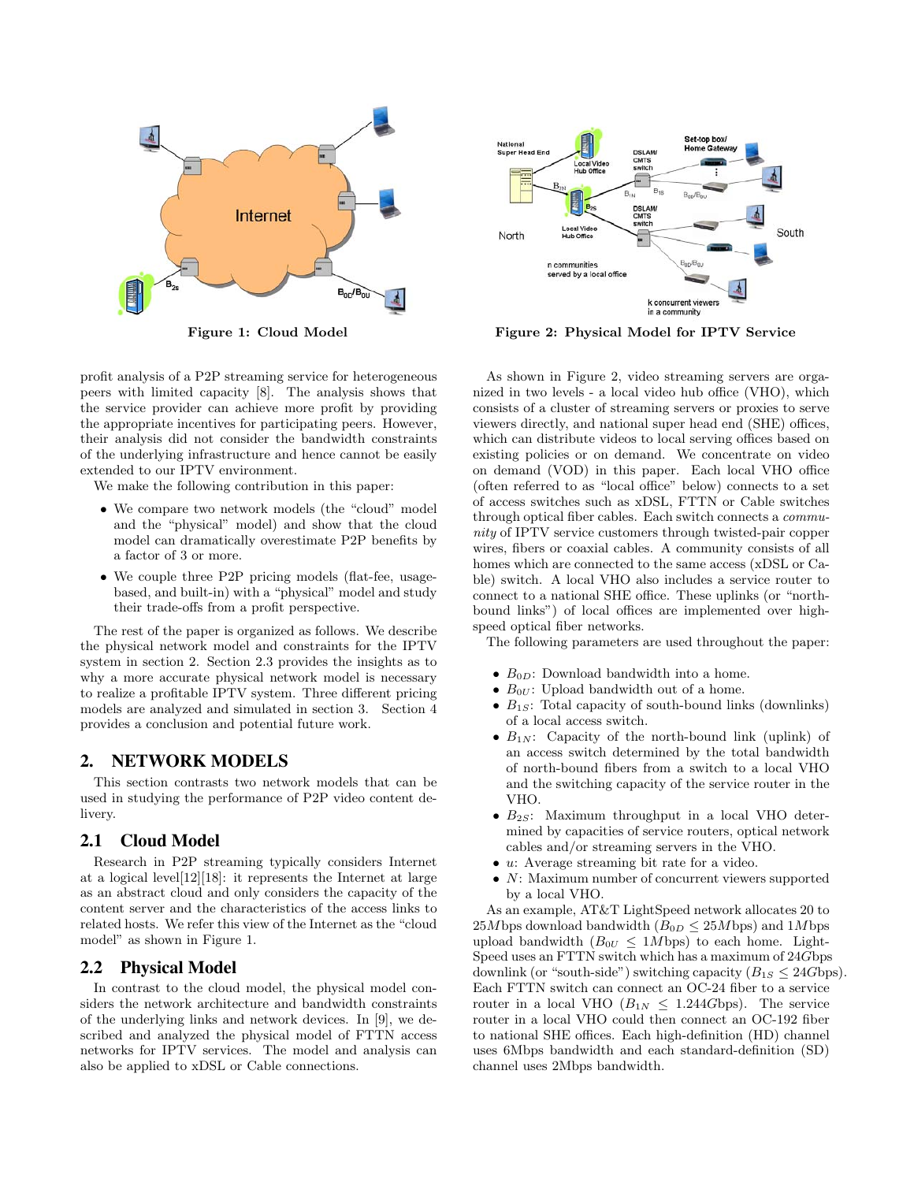

profit analysis of a P2P streaming service for heterogeneous peers with limited capacity [8]. The analysis shows that the service provider can achieve more profit by providing the appropriate incentives for participating peers. However, their analysis did not consider the bandwidth constraints of the underlying infrastructure and hence cannot be easily extended to our IPTV environment.

We make the following contribution in this paper:

- We compare two network models (the "cloud" model and the "physical" model) and show that the cloud model can dramatically overestimate P2P benefits by a factor of 3 or more.
- We couple three P2P pricing models (flat-fee, usagebased, and built-in) with a "physical" model and study their trade-offs from a profit perspective.

The rest of the paper is organized as follows. We describe the physical network model and constraints for the IPTV system in section 2. Section 2.3 provides the insights as to why a more accurate physical network model is necessary to realize a profitable IPTV system. Three different pricing models are analyzed and simulated in section 3. Section 4 provides a conclusion and potential future work.

# **2. NETWORK MODELS**

This section contrasts two network models that can be used in studying the performance of P2P video content delivery.

#### **2.1 Cloud Model**

Research in P2P streaming typically considers Internet at a logical level[12][18]: it represents the Internet at large as an abstract cloud and only considers the capacity of the content server and the characteristics of the access links to related hosts. We refer this view of the Internet as the "cloud model" as shown in Figure 1.

# **2.2 Physical Model**

In contrast to the cloud model, the physical model considers the network architecture and bandwidth constraints of the underlying links and network devices. In [9], we described and analyzed the physical model of FTTN access networks for IPTV services. The model and analysis can also be applied to xDSL or Cable connections.



**Figure 1: Cloud Model Figure 2: Physical Model for IPTV Service**

As shown in Figure 2, video streaming servers are organized in two levels - a local video hub office (VHO), which consists of a cluster of streaming servers or proxies to serve viewers directly, and national super head end (SHE) offices, which can distribute videos to local serving offices based on existing policies or on demand. We concentrate on video on demand (VOD) in this paper. Each local VHO office (often referred to as "local office" below) connects to a set of access switches such as xDSL, FTTN or Cable switches through optical fiber cables. Each switch connects a community of IPTV service customers through twisted-pair copper wires, fibers or coaxial cables. A community consists of all homes which are connected to the same access (xDSL or Cable) switch. A local VHO also includes a service router to connect to a national SHE office. These uplinks (or "northbound links") of local offices are implemented over highspeed optical fiber networks.

The following parameters are used throughout the paper:

- $B_{0D}$ : Download bandwidth into a home.
- $B_{0U}$ : Upload bandwidth out of a home.
- *<sup>B</sup>*1*S*: Total capacity of south-bound links (downlinks) of a local access switch.
- $B_{1N}$ : Capacity of the north-bound link (uplink) of an access switch determined by the total bandwidth of north-bound fibers from a switch to a local VHO and the switching capacity of the service router in the VHO.
- $B_{2S}$ : Maximum throughput in a local VHO determined by capacities of service routers, optical network cables and/or streaming servers in the VHO.
- *<sup>u</sup>*: Average streaming bit rate for a video.
- *<sup>N</sup>*: Maximum number of concurrent viewers supported by a local VHO.

As an example, AT&T LightSpeed network allocates 20 to 25*M* bps download bandwidth  $(B_{0D} \leq 25M$  bps) and 1*M* bps upload bandwidth  $(B_{0U} \leq 1Mb \text{ps})$  to each home. Light-Speed uses an FTTN switch which has a maximum of 24*G*bps downlink (or "south-side") switching capacity  $(B_{1S} \leq 24Gbps)$ . Each FTTN switch can connect an OC-24 fiber to a service router in a local VHO  $(B_{1N} \leq 1.244Gbps)$ . The service router in a local VHO could then connect an OC-192 fiber to national SHE offices. Each high-definition (HD) channel uses 6Mbps bandwidth and each standard-definition (SD) channel uses 2Mbps bandwidth.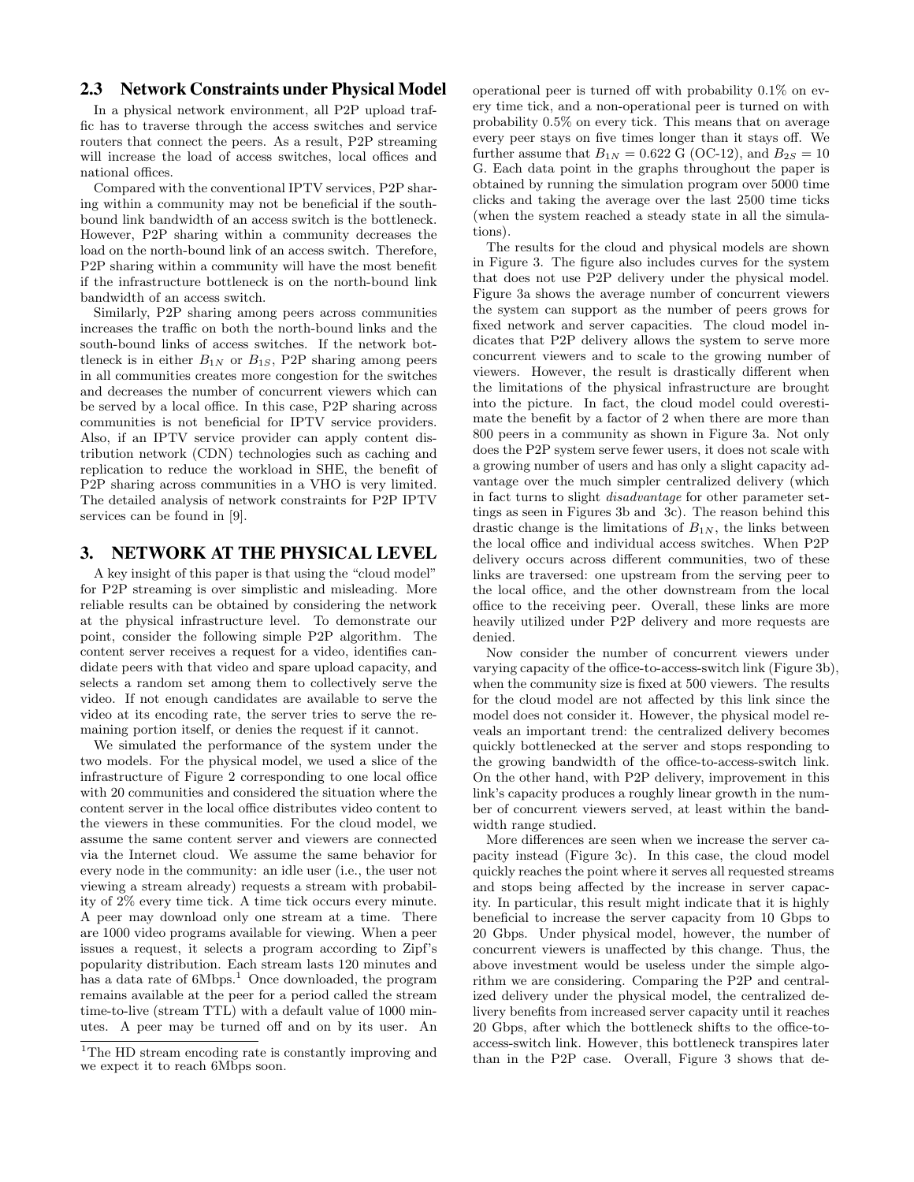# **2.3 Network Constraints under Physical Model**

In a physical network environment, all P2P upload traffic has to traverse through the access switches and service routers that connect the peers. As a result, P2P streaming will increase the load of access switches, local offices and national offices.

Compared with the conventional IPTV services, P2P sharing within a community may not be beneficial if the southbound link bandwidth of an access switch is the bottleneck. However, P2P sharing within a community decreases the load on the north-bound link of an access switch. Therefore, P2P sharing within a community will have the most benefit if the infrastructure bottleneck is on the north-bound link bandwidth of an access switch.

Similarly, P2P sharing among peers across communities increases the traffic on both the north-bound links and the south-bound links of access switches. If the network bottleneck is in either  $B_{1N}$  or  $B_{1S}$ , P2P sharing among peers in all communities creates more congestion for the switches and decreases the number of concurrent viewers which can be served by a local office. In this case, P2P sharing across communities is not beneficial for IPTV service providers. Also, if an IPTV service provider can apply content distribution network (CDN) technologies such as caching and replication to reduce the workload in SHE, the benefit of P2P sharing across communities in a VHO is very limited. The detailed analysis of network constraints for P2P IPTV services can be found in [9].

# **3. NETWORK AT THE PHYSICAL LEVEL**

A key insight of this paper is that using the "cloud model" for P2P streaming is over simplistic and misleading. More reliable results can be obtained by considering the network at the physical infrastructure level. To demonstrate our point, consider the following simple P2P algorithm. The content server receives a request for a video, identifies candidate peers with that video and spare upload capacity, and selects a random set among them to collectively serve the video. If not enough candidates are available to serve the video at its encoding rate, the server tries to serve the remaining portion itself, or denies the request if it cannot.

We simulated the performance of the system under the two models. For the physical model, we used a slice of the infrastructure of Figure 2 corresponding to one local office with 20 communities and considered the situation where the content server in the local office distributes video content to the viewers in these communities. For the cloud model, we assume the same content server and viewers are connected via the Internet cloud. We assume the same behavior for every node in the community: an idle user (i.e., the user not viewing a stream already) requests a stream with probability of 2% every time tick. A time tick occurs every minute. A peer may download only one stream at a time. There are 1000 video programs available for viewing. When a peer issues a request, it selects a program according to Zipf's popularity distribution. Each stream lasts 120 minutes and has a data rate of  $6Mbps<sup>1</sup>$  Once downloaded, the program remains available at the peer for a period called the stream time-to-live (stream TTL) with a default value of 1000 minutes. A peer may be turned off and on by its user. An

operational peer is turned off with probability 0.1% on every time tick, and a non-operational peer is turned on with probability 0.5% on every tick. This means that on average every peer stays on five times longer than it stays off. We further assume that  $B_{1N} = 0.622$  G (OC-12), and  $B_{2S} = 10$ G. Each data point in the graphs throughout the paper is obtained by running the simulation program over 5000 time clicks and taking the average over the last 2500 time ticks (when the system reached a steady state in all the simulations).

The results for the cloud and physical models are shown in Figure 3. The figure also includes curves for the system that does not use P2P delivery under the physical model. Figure 3a shows the average number of concurrent viewers the system can support as the number of peers grows for fixed network and server capacities. The cloud model indicates that P2P delivery allows the system to serve more concurrent viewers and to scale to the growing number of viewers. However, the result is drastically different when the limitations of the physical infrastructure are brought into the picture. In fact, the cloud model could overestimate the benefit by a factor of 2 when there are more than 800 peers in a community as shown in Figure 3a. Not only does the P2P system serve fewer users, it does not scale with a growing number of users and has only a slight capacity advantage over the much simpler centralized delivery (which in fact turns to slight disadvantage for other parameter settings as seen in Figures 3b and 3c). The reason behind this drastic change is the limitations of  $B_{1N}$ , the links between the local office and individual access switches. When P2P delivery occurs across different communities, two of these links are traversed: one upstream from the serving peer to the local office, and the other downstream from the local office to the receiving peer. Overall, these links are more heavily utilized under P2P delivery and more requests are denied.

Now consider the number of concurrent viewers under varying capacity of the office-to-access-switch link (Figure 3b), when the community size is fixed at 500 viewers. The results for the cloud model are not affected by this link since the model does not consider it. However, the physical model reveals an important trend: the centralized delivery becomes quickly bottlenecked at the server and stops responding to the growing bandwidth of the office-to-access-switch link. On the other hand, with P2P delivery, improvement in this link's capacity produces a roughly linear growth in the number of concurrent viewers served, at least within the bandwidth range studied.

More differences are seen when we increase the server capacity instead (Figure 3c). In this case, the cloud model quickly reaches the point where it serves all requested streams and stops being affected by the increase in server capacity. In particular, this result might indicate that it is highly beneficial to increase the server capacity from 10 Gbps to 20 Gbps. Under physical model, however, the number of concurrent viewers is unaffected by this change. Thus, the above investment would be useless under the simple algorithm we are considering. Comparing the P2P and centralized delivery under the physical model, the centralized delivery benefits from increased server capacity until it reaches 20 Gbps, after which the bottleneck shifts to the office-toaccess-switch link. However, this bottleneck transpires later than in the P2P case. Overall, Figure 3 shows that de-

 $^1\mathrm{The}$  HD stream encoding rate is constantly improving and we expect it to reach 6Mbps soon.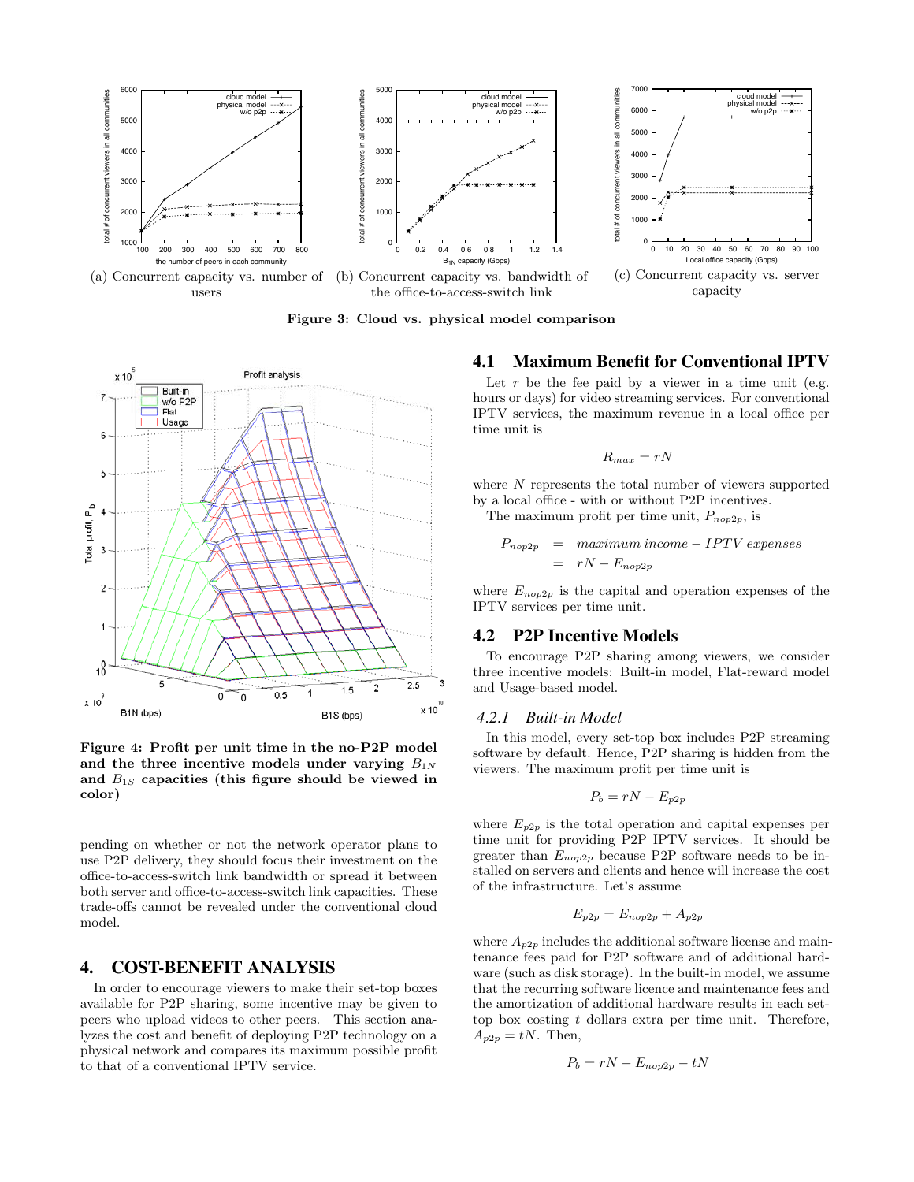

**Figure 3: Cloud vs. physical model comparison**



**Figure 4: Profit per unit time in the no-P2P model** and the three incentive models under varying  $B_{1N}$ **and** *B*1*<sup>S</sup>* **capacities (this figure should be viewed in color)**

pending on whether or not the network operator plans to use P2P delivery, they should focus their investment on the office-to-access-switch link bandwidth or spread it between both server and office-to-access-switch link capacities. These trade-offs cannot be revealed under the conventional cloud model.

### **4. COST-BENEFIT ANALYSIS**

In order to encourage viewers to make their set-top boxes available for P2P sharing, some incentive may be given to peers who upload videos to other peers. This section analyzes the cost and benefit of deploying P2P technology on a physical network and compares its maximum possible profit to that of a conventional IPTV service.

## **4.1 Maximum Benefit for Conventional IPTV**

Let  $r$  be the fee paid by a viewer in a time unit (e.g. hours or days) for video streaming services. For conventional IPTV services, the maximum revenue in a local office per time unit is

$$
R_{max}=rN
$$

where *N* represents the total number of viewers supported by a local office - with or without P2P incentives.

The maximum profit per time unit,  $P_{nop2p}$ , is

$$
P_{nop2p} = maximum income - IPTV expenses
$$
  
=  $rN - E_{nop2p}$ 

where  $E_{nop2p}$  is the capital and operation expenses of the IPTV services per time unit.

### **4.2 P2P Incentive Models**

To encourage P2P sharing among viewers, we consider three incentive models: Built-in model, Flat-reward model and Usage-based model.

#### *4.2.1 Built-in Model*

In this model, every set-top box includes P2P streaming software by default. Hence, P2P sharing is hidden from the viewers. The maximum profit per time unit is

$$
P_b=rN-E_{p2p}
$$

where  $E_{p2p}$  is the total operation and capital expenses per time unit for providing P2P IPTV services. It should be greater than *Enop*2*<sup>p</sup>* because P2P software needs to be installed on servers and clients and hence will increase the cost of the infrastructure. Let's assume

$$
E_{p2p} = E_{nop2p} + A_{p2p}
$$

where  $A_{p2p}$  includes the additional software license and maintenance fees paid for P2P software and of additional hardware (such as disk storage). In the built-in model, we assume that the recurring software licence and maintenance fees and the amortization of additional hardware results in each settop box costing *t* dollars extra per time unit. Therefore,  $A_{p2p} = tN$ . Then,

$$
P_b = rN - E_{nop2p} - tN
$$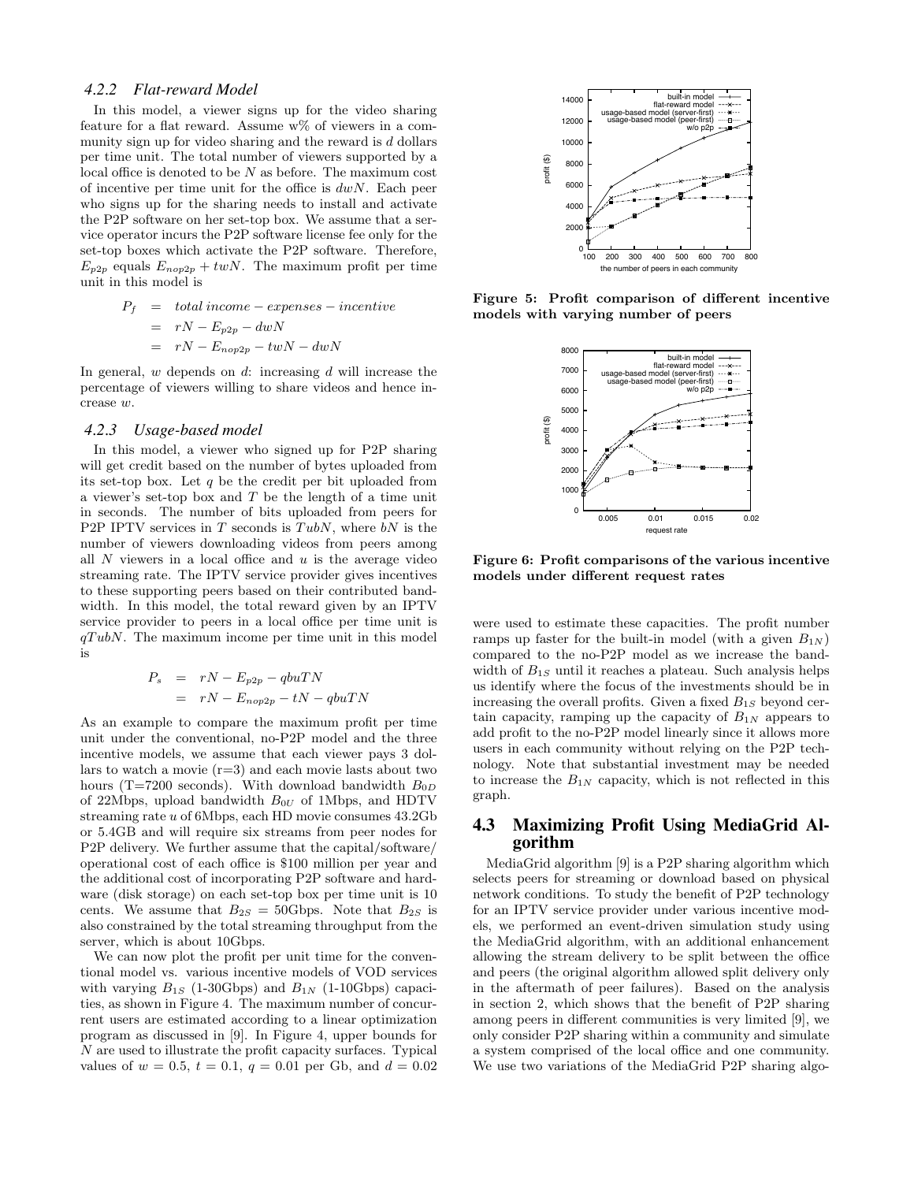#### *4.2.2 Flat-reward Model*

In this model, a viewer signs up for the video sharing feature for a flat reward. Assume  $w\%$  of viewers in a community sign up for video sharing and the reward is *d* dollars per time unit. The total number of viewers supported by a local office is denoted to be *N* as before. The maximum cost of incentive per time unit for the office is *dwN*. Each peer who signs up for the sharing needs to install and activate the P2P software on her set-top box. We assume that a service operator incurs the P2P software license fee only for the set-top boxes which activate the P2P software. Therefore,  $E_{p2p}$  equals  $E_{nop2p} + twN$ . The maximum profit per time unit in this model is

$$
P_f = total income - expenses - incentive
$$
  
=  $rN - E_{p2p} - dwN$   
=  $rN - E_{nop2p} - twN - dwN$ 

In general, *w* depends on *d*: increasing *d* will increase the percentage of viewers willing to share videos and hence increase *w*.

#### *4.2.3 Usage-based model*

In this model, a viewer who signed up for P2P sharing will get credit based on the number of bytes uploaded from its set-top box. Let *q* be the credit per bit uploaded from a viewer's set-top box and *T* be the length of a time unit in seconds. The number of bits uploaded from peers for P2P IPTV services in *T* seconds is *T ubN*, where *bN* is the number of viewers downloading videos from peers among all *N* viewers in a local office and *u* is the average video streaming rate. The IPTV service provider gives incentives to these supporting peers based on their contributed bandwidth. In this model, the total reward given by an IPTV service provider to peers in a local office per time unit is *qT ubN*. The maximum income per time unit in this model is

$$
P_s = rN - E_{p2p} - qbuTN
$$
  
=  $rN - E_{nop2p} - tN - qbuTN$ 

As an example to compare the maximum profit per time unit under the conventional, no-P2P model and the three incentive models, we assume that each viewer pays 3 dollars to watch a movie  $(r=3)$  and each movie lasts about two hours (T=7200 seconds). With download bandwidth  $B_{0D}$ of 22Mbps, upload bandwidth *B*0*<sup>U</sup>* of 1Mbps, and HDTV streaming rate *u* of 6Mbps, each HD movie consumes 43.2Gb or 5.4GB and will require six streams from peer nodes for P2P delivery. We further assume that the capital/software/ operational cost of each office is \$100 million per year and the additional cost of incorporating P2P software and hardware (disk storage) on each set-top box per time unit is 10 cents. We assume that  $B_{2S} = 50 \text{Gbps}$ . Note that  $B_{2S}$  is also constrained by the total streaming throughput from the server, which is about 10Gbps.

We can now plot the profit per unit time for the conventional model vs. various incentive models of VOD services with varying  $B_{1S}$  (1-30Gbps) and  $B_{1N}$  (1-10Gbps) capacities, as shown in Figure 4. The maximum number of concurrent users are estimated according to a linear optimization program as discussed in [9]. In Figure 4, upper bounds for *N* are used to illustrate the profit capacity surfaces. Typical values of  $w = 0.5$ ,  $t = 0.1$ ,  $q = 0.01$  per Gb, and  $d = 0.02$ 



**Figure 5: Profit comparison of different incentive models with varying number of peers**



**Figure 6: Profit comparisons of the various incentive models under different request rates**

were used to estimate these capacities. The profit number ramps up faster for the built-in model (with a given  $B_{1N}$ ) compared to the no-P2P model as we increase the bandwidth of  $B_{1S}$  until it reaches a plateau. Such analysis helps us identify where the focus of the investments should be in increasing the overall profits. Given a fixed *B*1*<sup>S</sup>* beyond certain capacity, ramping up the capacity of  $B_{1N}$  appears to add profit to the no-P2P model linearly since it allows more users in each community without relying on the P2P technology. Note that substantial investment may be needed to increase the  $B_{1N}$  capacity, which is not reflected in this graph.

## **4.3 Maximizing Profit Using MediaGrid Algorithm**

MediaGrid algorithm [9] is a P2P sharing algorithm which selects peers for streaming or download based on physical network conditions. To study the benefit of P2P technology for an IPTV service provider under various incentive models, we performed an event-driven simulation study using the MediaGrid algorithm, with an additional enhancement allowing the stream delivery to be split between the office and peers (the original algorithm allowed split delivery only in the aftermath of peer failures). Based on the analysis in section 2, which shows that the benefit of P2P sharing among peers in different communities is very limited [9], we only consider P2P sharing within a community and simulate a system comprised of the local office and one community. We use two variations of the MediaGrid P2P sharing algo